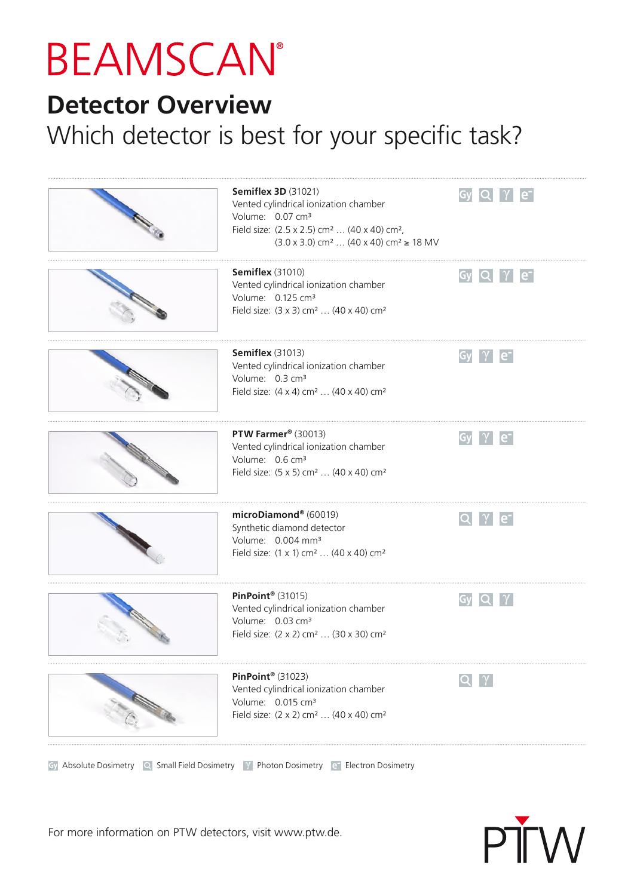## **BEAMSCAN®**

## **Detector Overview**

## Which detector is best for your specific task?

|                                                                                                                                                                                                                                      | <b>Semiflex 3D (31021)</b><br>Vented cylindrical ionization chamber<br>Volume: 0.07 cm <sup>3</sup><br>Field size: (2.5 x 2.5) cm <sup>2</sup> (40 x 40) cm <sup>2</sup> ,<br>$(3.0 \times 3.0)$ cm <sup>2</sup> $(40 \times 40)$ cm <sup>2</sup> $\geq 18$ MV | $Gy$ Q $\gamma$ e <sup>-</sup> |
|--------------------------------------------------------------------------------------------------------------------------------------------------------------------------------------------------------------------------------------|----------------------------------------------------------------------------------------------------------------------------------------------------------------------------------------------------------------------------------------------------------------|--------------------------------|
|                                                                                                                                                                                                                                      | <b>Semiflex</b> (31010)<br>Vented cylindrical ionization chamber<br>Volume: 0.125 cm <sup>3</sup><br>Field size: (3 x 3) cm <sup>2</sup> (40 x 40) cm <sup>2</sup>                                                                                             | $Gy$ Q $\gamma$ e              |
|                                                                                                                                                                                                                                      | <b>Semiflex</b> (31013)<br>Vented cylindrical ionization chamber<br>Volume: 0.3 cm <sup>3</sup><br>Field size: (4 x 4) cm <sup>2</sup> (40 x 40) cm <sup>2</sup>                                                                                               | $Gy \mid \gamma \mid e^-$      |
|                                                                                                                                                                                                                                      | PTW Farmer® (30013)<br>Vented cylindrical ionization chamber<br>Volume: 0.6 cm <sup>3</sup><br>Field size: (5 x 5) cm <sup>2</sup> (40 x 40) cm <sup>2</sup>                                                                                                   | $Gy$ $\gamma$ $e^-$            |
|                                                                                                                                                                                                                                      | microDiamond® (60019)<br>Synthetic diamond detector<br>Volume: 0.004 mm <sup>3</sup><br>Field size: (1 x 1) cm <sup>2</sup> (40 x 40) cm <sup>2</sup>                                                                                                          | $Q$ $\gamma$ $e^-$             |
|                                                                                                                                                                                                                                      | PinPoint® $(31015)$<br>Vented cylindrical ionization chamber<br>Volume: 0.03 cm <sup>3</sup><br>Field size: (2 x 2) cm <sup>2</sup> (30 x 30) cm <sup>2</sup>                                                                                                  | $Gy$ $Q$                       |
| <b>CALL OF CALL OF CALL OF CALL OF CALL OF CALL OF CALL OF CALL OF CALL OF CALL OF CALL OF CALL OF CALL OF CALL OF CALL OF CALL OF CALL OF CALL OF CALL OF CALL OF CALL OF CALL OF CALL OF CALL OF CALL OF CALL OF CALL OF CALL </b> | PinPoint® $(31023)$<br>Vented cylindrical ionization chamber<br>Volume: 0.015 cm <sup>3</sup><br>Field size: (2 x 2) cm <sup>2</sup> (40 x 40) cm <sup>2</sup>                                                                                                 |                                |
|                                                                                                                                                                                                                                      |                                                                                                                                                                                                                                                                |                                |

Gy Absolute Dosimetry  $\overline{Q}$  Small Field Dosimetry  $\overline{Y}$  Photon Dosimetry  $\overline{e}$  Electron Dosimetry